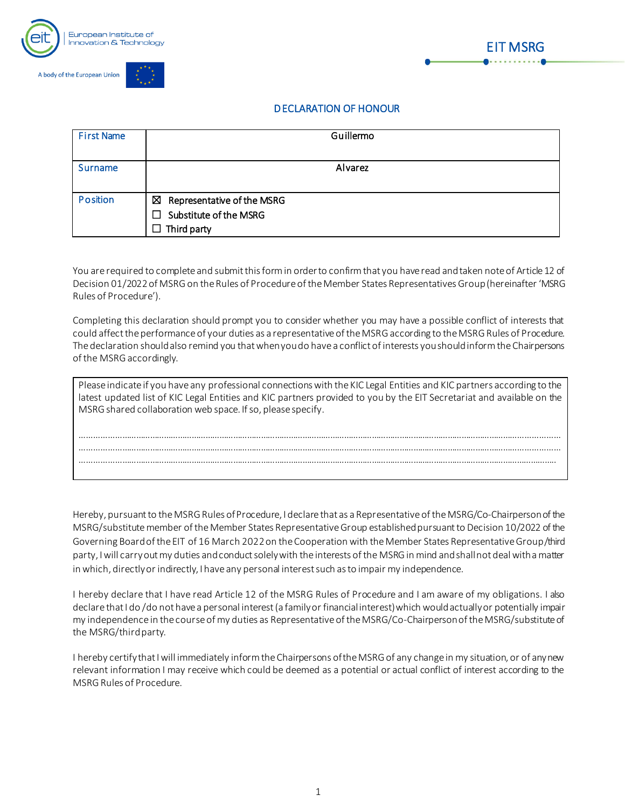





## DECLARATION OF HONOUR

| <b>First Name</b> | Guillermo                                                                             |
|-------------------|---------------------------------------------------------------------------------------|
| Surname           | Alvarez                                                                               |
| Position          | Representative of the MSRG<br>⊠<br>Substitute of the MSRG<br>П.<br>$\Box$ Third party |

You are required to complete and submit this form in order to confirm that you have read and taken note of Article 12 of Decision 01/2022 of MSRG on the Rules of Procedure of the Member States Representatives Group (hereinafter 'MSRG Rules of Procedure').

Completing this declaration should prompt you to consider whether you may have a possible conflict of interests that could affect the performance of your duties as a representative of the MSRG according to the MSRG Rules of Procedure. The declaration should also remind you that when you do have a conflict of interests you should inform the Chairpersons of the MSRGaccordingly.

| Please indicate if you have any professional connections with the KIC Legal Entities and KIC partners according to the<br>latest updated list of KIC Legal Entities and KIC partners provided to you by the EIT Secretariat and available on the<br>MSRG shared collaboration web space. If so, please specify. |
|-----------------------------------------------------------------------------------------------------------------------------------------------------------------------------------------------------------------------------------------------------------------------------------------------------------------|
|                                                                                                                                                                                                                                                                                                                 |
|                                                                                                                                                                                                                                                                                                                 |
|                                                                                                                                                                                                                                                                                                                 |
|                                                                                                                                                                                                                                                                                                                 |
|                                                                                                                                                                                                                                                                                                                 |
|                                                                                                                                                                                                                                                                                                                 |

Hereby, pursuant to the MSRGRules of Procedure, I declare that as a Representative of the MSRG/Co-Chairperson of the MSRG/substitute member of the Member States Representative Group established pursuant to Decision 10/2022 of the Governing Board of the EIT of 16 March 2022 on the Cooperation with the Member States Representative Group/third party, I will carry out my duties and conduct solely with the interests of the MSRGin mind and shall not deal with a matter in which, directly or indirectly, I have any personal interest such as to impair my independence.

I hereby declare that I have read Article 12 of the MSRG Rules of Procedure and I am aware of my obligations. I also declare that I do /do not have a personal interest (a family or financial interest) which would actually or potentially impair my independence in the course of my duties as Representative of the MSRG/Co-Chairperson of the MSRG/substitute of the MSRG/third party.

I hereby certify that I will immediately inform the Chairpersons of the MSRG of any change in my situation, or of any new relevant information I may receive which could be deemed as a potential or actual conflict of interest according to the MSRGRules of Procedure.